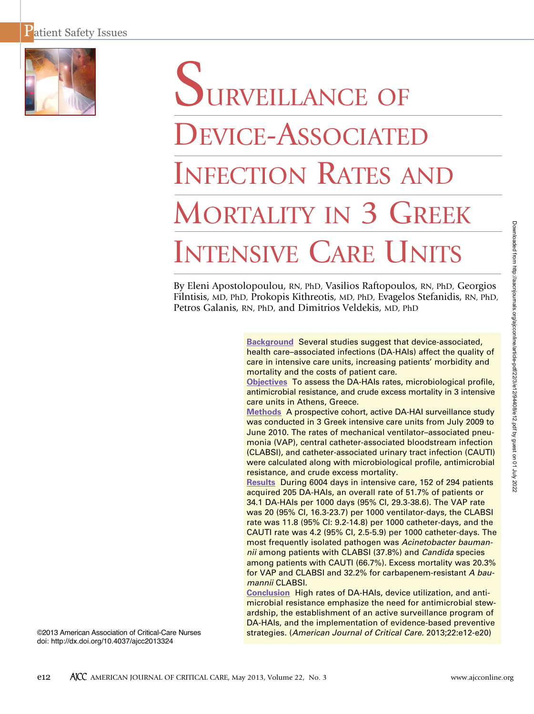

# DURVEILLANCE OF DEVICE-ASSOCIATED INFECTION RATES AND MORTALITY IN 3 GREEK INTENSIVE CARE UNITS

By Eleni Apostolopoulou, RN, PhD, Vasilios Raftopoulos, RN, PhD, Georgios Filntisis, MD, PhD, Prokopis Kithreotis, MD, PhD, Evagelos Stefanidis, RN, PhD, Petros Galanis, RN, PhD, and Dimitrios Veldekis, MD, PhD

> **Background** Several studies suggest that device-associated, health care–associated infections (DA-HAIs) affect the quality of care in intensive care units, increasing patients' morbidity and mortality and the costs of patient care.

> **Objectives** To assess the DA-HAIs rates, microbiological profile, antimicrobial resistance, and crude excess mortality in 3 intensive care units in Athens, Greece.

> **Methods** A prospective cohort, active DA-HAI surveillance study was conducted in 3 Greek intensive care units from July 2009 to June 2010. The rates of mechanical ventilator–associated pneumonia (VAP), central catheter-associated bloodstream infection (CLABSI), and catheter-associated urinary tract infection (CAUTI) were calculated along with microbiological profile, antimicrobial resistance, and crude excess mortality.

> **Results** During 6004 days in intensive care, 152 of 294 patients acquired 205 DA-HAIs, an overall rate of 51.7% of patients or 34.1 DA-HAIs per 1000 days (95% CI, 29.3-38.6). The VAP rate was 20 (95% CI, 16.3-23.7) per 1000 ventilator-days, the CLABSI rate was 11.8 (95% CI: 9.2-14.8) per 1000 catheter-days, and the CAUTI rate was 4.2 (95% CI, 2.5-5.9) per 1000 catheter-days. The most frequently isolated pathogen was *Acinetobacter baumannii* among patients with CLABSI (37.8%) and *Candida* species among patients with CAUTI (66.7%). Excess mortality was 20.3% for VAP and CLABSI and 32.2% for carbapenem-resistant *A baumannii* CLABSI.

> **Conclusion** High rates of DA-HAIs, device utilization, and antimicrobial resistance emphasize the need for antimicrobial stewardship, the establishment of an active surveillance program of DA-HAIs, and the implementation of evidence-based preventive strategies. (*American Journal of Critical Care.* 2013;22:e12-e20)

©2013 American Association of Critical-Care Nurses doi: http://dx.doi.org/10.4037/ajcc2013324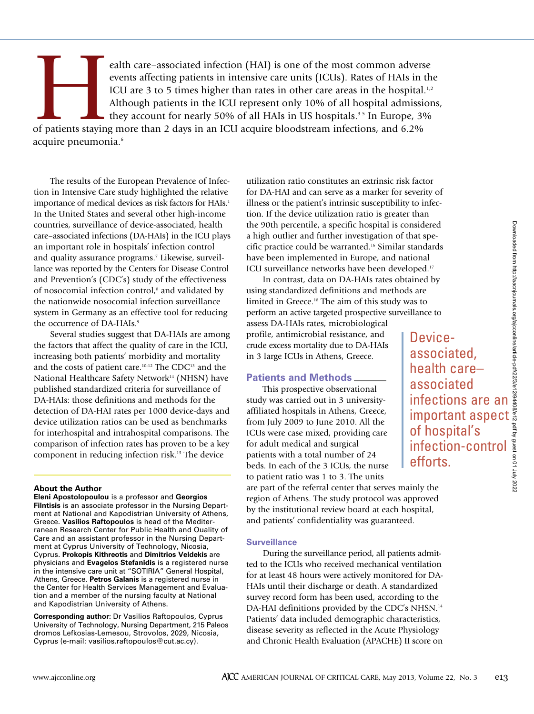Device-

associated, health care– associated

of hospital's

efforts.

infections are an

infection-control

events affecting patients in intensive care units (ICUs). Rates of HAIs in the ICU are 3 to 5 times higher than rates in other care areas in the hospital.<sup>1</sup> Although patients in the ICU represent only 10% of all hospital events affecting patients in intensive care units (ICUs). Rates of HAIs in the ICU are 3 to 5 times higher than rates in other care areas in the hospital.<sup>1,2</sup> Although patients in the ICU represent only 10% of all hospital admissions, they account for nearly 50% of all HAIs in US hospitals. 3-5 In Europe, 3% of patients staying more than 2 days in an ICU acquire bloodstream infections, and 6.2% acquire pneumonia. 6

The results of the European Prevalence of Infection in Intensive Care study highlighted the relative importance of medical devices as risk factors for HAIs. 1 In the United States and several other high-income countries, surveillance of device-associated, health care–associated infections (DA-HAIs) in the ICU plays an important role in hospitals' infection control and quality assurance programs. <sup>7</sup> Likewise, surveillance was reported by the Centers for Disease Control and Prevention's (CDC's) study of the effectiveness of nosocomial infection control, <sup>8</sup> and validated by the nationwide nosocomial infection surveillance system in Germany as an effective tool for reducing the occurrence of DA-HAIs. 9

Several studies suggest that DA-HAIs are among the factors that affect the quality of care in the ICU, increasing both patients' morbidity and mortality and the costs of patient care.<sup>10-12</sup> The CDC<sup>13</sup> and the National Healthcare Safety Network<sup>14</sup> (NHSN) have published standardized criteria for surveillance of DA-HAIs: those definitions and methods for the detection of DA-HAI rates per 1000 device-days and device utilization ratios can be used as benchmarks for interhospital and intrahospital comparisons. The comparison of infection rates has proven to be a key component in reducing infection risk. <sup>15</sup> The device

#### **About the Author**

**Eleni Apostolopoulou** is a professor and **Georgios Filntisis** is an associate professor in the Nursing Department at National and Kapodistrian University of Athens, Greece. **Vasilios Raftopoulos** is head of the Mediterranean Research Center for Public Health and Quality of Care and an assistant professor in the Nursing Department at Cyprus University of Technology, Nicosia, Cyprus. **Prokopis Kithreotis** and **Dimitrios Veldekis** are physicians and **Evagelos Stefanidis** is a registered nurse in the intensive care unit at "SOTIRIA" General Hospital, Athens, Greece. **Petros Galanis** is a registered nurse in the Center for Health Services Management and Evaluation and a member of the nursing faculty at National and Kapodistrian University of Athens.

**Corresponding author:** Dr Vasilios Raftopoulos, Cyprus University of Technology, Nursing Department, 215 Paleos dromos Lefkosias-Lemesou, Strovolos, 2029, Nicosia, Cyprus (e-mail: vasilios.raftopoulos@cut.ac.cy).

utilization ratio constitutes an extrinsic risk factor for DA-HAI and can serve as a marker for severity of illness or the patient's intrinsic susceptibility to infection. If the device utilization ratio is greater than the 90th percentile, a specific hospital is considered a high outlier and further investigation of that specific practice could be warranted. <sup>16</sup> Similar standards have been implemented in Europe, and national ICU surveillance networks have been developed. 17

In contrast, data on DA-HAIs rates obtained by using standardized definitions and methods are limited in Greece. <sup>18</sup> The aim of this study was to perform an active targeted prospective surveillance to

assess DA-HAIs rates, microbiological profile, antimicrobial resistance, and crude excess mortality due to DA-HAIs in 3 large ICUs in Athens, Greece.

## **Patients and Methods**

This prospective observational study was carried out in 3 universityaffiliated hospitals in Athens, Greece, from July 2009 to June 2010. All the ICUs were case mixed, providing care for adult medical and surgical patients with a total number of 24 beds. In each of the 3 ICUs, the nurse to patient ratio was 1 to 3. The units

are part of the referral center that serves mainly the region of Athens. The study protocol was approved by the institutional review board at each hospital, and patients' confidentiality was guaranteed.

#### **Surveillance**

During the surveillance period, all patients admitted to the ICUs who received mechanical ventilation for at least 48 hours were actively monitored for DA-HAIs until their discharge or death. A standardized survey record form has been used, according to the DA-HAI definitions provided by the CDC's NHSN.<sup>14</sup> Patients' data included demographic characteristics, disease severity as reflected in the Acute Physiology and Chronic Health Evaluation (APACHE) II score on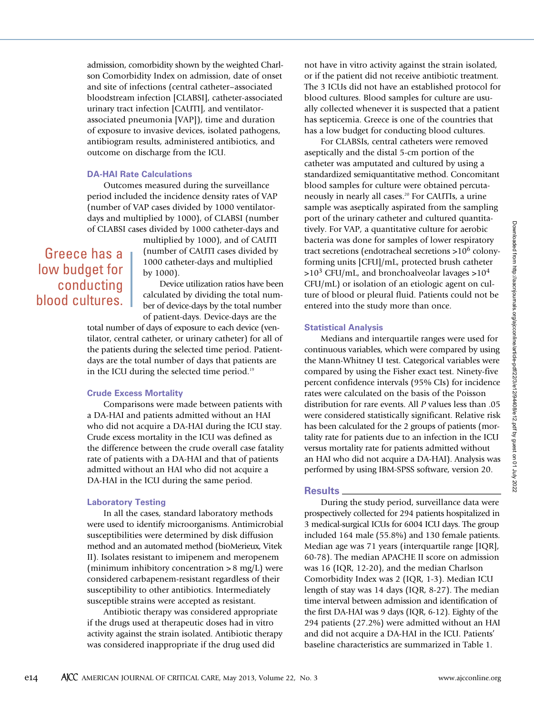admission, comorbidity shown by the weighted Charlson Comorbidity Index on admission, date of onset and site of infections (central catheter–associated bloodstream infection [CLABSI], catheter-associated urinary tract infection [CAUTI], and ventilatorassociated pneumonia [VAP]), time and duration of exposure to invasive devices, isolated pathogens, antibiogram results, administered antibiotics, and outcome on discharge from the ICU.

#### **DA-HAI Rate Calculations**

Outcomes measured during the surveillance period included the incidence density rates of VAP (number of VAP cases divided by 1000 ventilatordays and multiplied by 1000), of CLABSI (number of CLABSI cases divided by 1000 catheter-days and

## Greece has a low budget for conducting blood cultures.

multiplied by 1000), and of CAUTI (number of CAUTI cases divided by 1000 catheter-days and multiplied by 1000).

Device utilization ratios have been calculated by dividing the total number of device-days by the total number of patient-days. Device-days are the

total number of days of exposure to each device (ventilator, central catheter, or urinary catheter) for all of the patients during the selected time period. Patientdays are the total number of days that patients are in the ICU during the selected time period. 19

#### **Crude Excess Mortality**

Comparisons were made between patients with a DA-HAI and patients admitted without an HAI who did not acquire a DA-HAI during the ICU stay. Crude excess mortality in the ICU was defined as the difference between the crude overall case fatality rate of patients with a DA-HAI and that of patients admitted without an HAI who did not acquire a DA-HAI in the ICU during the same period.

#### **Laboratory Testing**

In all the cases, standard laboratory methods were used to identify microorganisms. Antimicrobial susceptibilities were determined by disk diffusion method and an automated method (bioMerieux, Vitek II). Isolates resistant to imipenem and meropenem (minimum inhibitory concentration  $> 8$  mg/L) were considered carbapenem-resistant regardless of their susceptibility to other antibiotics. Intermediately susceptible strains were accepted as resistant.

Antibiotic therapy was considered appropriate if the drugs used at therapeutic doses had in vitro activity against the strain isolated. Antibiotic therapy was considered inappropriate if the drug used did

not have in vitro activity against the strain isolated, or if the patient did not receive antibiotic treatment. The 3 ICUs did not have an established protocol for blood cultures. Blood samples for culture are usually collected whenever it is suspected that a patient has septicemia. Greece is one of the countries that has a low budget for conducting blood cultures.

For CLABSIs, central catheters were removed aseptically and the distal 5-cm portion of the catheter was amputated and cultured by using a standardized semiquantitative method. Concomitant blood samples for culture were obtained percutaneously in nearly all cases. <sup>20</sup> For CAUTIs, a urine sample was aseptically aspirated from the sampling port of the urinary catheter and cultured quantitatively. For VAP, a quantitative culture for aerobic bacteria was done for samples of lower respiratory tract secretions (endotracheal secretions >106 colonyforming units [CFU]/mL, protected brush catheter  $>10^3$  CFU/mL, and bronchoalveolar lavages  $>10^4$ CFU/mL) or isolation of an etiologic agent on culture of blood or pleural fluid. Patients could not be entered into the study more than once.

#### **Statistical Analysis**

Medians and interquartile ranges were used for continuous variables, which were compared by using the Mann-Whitney U test. Categorical variables were compared by using the Fisher exact test. Ninety-five percent confidence intervals (95% CIs) for incidence rates were calculated on the basis of the Poisson distribution for rare events. All *P* values less than .05 were considered statistically significant. Relative risk has been calculated for the 2 groups of patients (mortality rate for patients due to an infection in the ICU versus mortality rate for patients admitted without an HAI who did not acquire a DA-HAI). Analysis was performed by using IBM-SPSS software, version 20.

#### **Results**

During the study period, surveillance data were prospectively collected for 294 patients hospitalized in 3 medical-surgical ICUs for 6004 ICU days. The group included 164 male (55.8%) and 130 female patients. Median age was 71 years (interquartile range [IQR], 60-78). The median APACHE II score on admission was 16 (IQR, 12-20), and the median Charlson Comorbidity Index was 2 (IQR, 1-3). Median ICU length of stay was 14 days (IQR, 8-27). The median time interval between admission and identification of the first DA-HAI was 9 days (IQR, 6-12). Eighty of the 294 patients (27.2%) were admitted without an HAI and did not acquire a DA-HAI in the ICU. Patients' baseline characteristics are summarized in Table 1.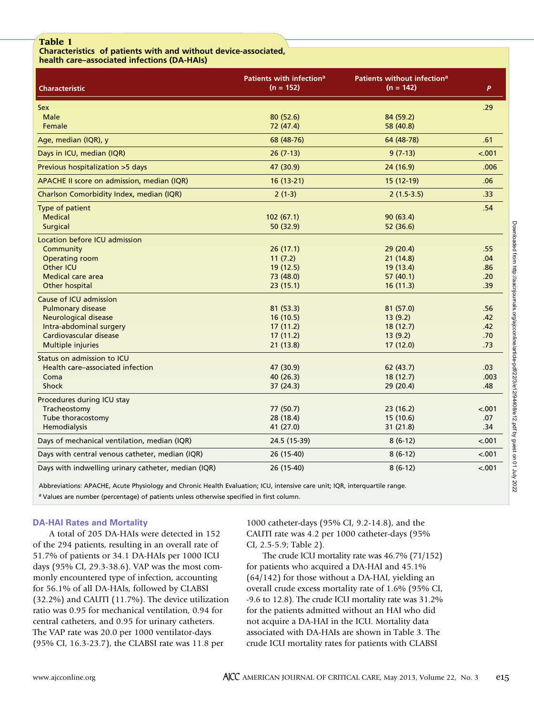### **Table 1**

**Characteristics of patients with and without device-associated, health care–associated infections (DA-HAIs)**

| <b>Characteristic</b>                               | Patients with infection <sup>a</sup><br>$(n = 152)$ | Patients without infection <sup>a</sup><br>$(n = 142)$ | P       |
|-----------------------------------------------------|-----------------------------------------------------|--------------------------------------------------------|---------|
| <b>Sex</b>                                          |                                                     |                                                        | .29     |
| Male                                                | 80(52.6)                                            | 84 (59.2)                                              |         |
| Female                                              | 72 (47.4)                                           | 58 (40.8)                                              |         |
| Age, median (IQR), y                                | 68 (48-76)                                          | 64 (48-78)                                             | .61     |
| Days in ICU, median (IQR)                           | $26(7-13)$                                          | $9(7-13)$                                              | $-.001$ |
| Previous hospitalization >5 days                    | 47 (30.9)                                           | 24 (16.9)                                              | .006    |
| APACHE II score on admission, median (IQR)          | $16(13-21)$                                         | 15 (12-19)                                             | .06     |
| Charlson Comorbidity Index, median (IQR)            | $2(1-3)$                                            | $2(1.5-3.5)$                                           | .33     |
| Type of patient                                     |                                                     |                                                        | .54     |
| <b>Medical</b>                                      | 102(67.1)                                           | 90(63.4)                                               |         |
| <b>Surgical</b>                                     | 50 (32.9)                                           | 52 (36.6)                                              |         |
| <b>Location before ICU admission</b>                |                                                     |                                                        |         |
| Community                                           | 26(17.1)                                            | 29(20.4)                                               | .55     |
| <b>Operating room</b>                               | 11(7.2)                                             | 21(14.8)                                               | .04     |
| <b>Other ICU</b>                                    | 19 (12.5)                                           | 19 (13.4)                                              | .86     |
| Medical care area                                   | 73 (48.0)                                           | 57(40.1)                                               | .20     |
| Other hospital                                      | 23(15.1)                                            | 16(11.3)                                               | .39     |
| Cause of ICU admission                              |                                                     |                                                        |         |
| <b>Pulmonary disease</b>                            | 81 (53.3)                                           | 81 (57.0)                                              | .56     |
| <b>Neurological disease</b>                         | 16(10.5)                                            | 13(9.2)                                                | .42     |
| Intra-abdominal surgery                             | 17(11.2)                                            | 18(12.7)                                               | .42     |
| Cardiovascular disease                              | 17(11.2)                                            | 13(9.2)                                                | .70     |
| Multiple injuries                                   | 21(13.8)                                            | 17 (12.0)                                              | .73     |
| Status on admission to ICU                          |                                                     |                                                        |         |
| Health care-associated infection                    | 47 (30.9)                                           | 62(43.7)                                               | .03     |
| Coma                                                | 40 (26.3)                                           | 18 (12.7)                                              | .003    |
| <b>Shock</b>                                        | 37(24.3)                                            | 29 (20.4)                                              | .48     |
| Procedures during ICU stay                          |                                                     |                                                        |         |
| Tracheostomy                                        | 77(50.7)                                            | 23(16.2)                                               | $-.001$ |
| Tube thoracostomy                                   | 28 (18.4)                                           | 15 (10.6)                                              | .07     |
| Hemodialysis                                        | 41 (27.0)                                           | 31 (21.8)                                              | .34     |
| Days of mechanical ventilation, median (IQR)        | 24.5 (15-39)                                        | $8(6-12)$                                              | $-.001$ |
| Days with central venous catheter, median (IQR)     | 26 (15-40)                                          | $8(6-12)$                                              | $-.001$ |
| Days with indwelling urinary catheter, median (IQR) | 26 (15-40)                                          | $8(6-12)$                                              | $-.001$ |

Abbreviations: APACHE, Acute Physiology and Chronic Health Evaluation; ICU, intensive care unit; IQR, interquartile range. <sup>a</sup> Values are number (percentage) of patients unless otherwise specified in first column.

## **DA-HAI Rates and Mortality**

A total of 205 DA-HAIs were detected in 152 of the 294 patients, resulting in an overall rate of 51.7% of patients or 34.1 DA-HAIs per 1000 ICU days (95% CI, 29.3-38.6). VAP was the most commonly encountered type of infection, accounting for 56.1% of all DA-HAIs, followed by CLABSI (32.2%) and CAUTI (11.7%). The device utilization ratio was 0.95 for mechanical ventilation, 0.94 for central catheters, and 0.95 for urinary catheters. The VAP rate was 20.0 per 1000 ventilator-days (95% CI, 16.3-23.7), the CLABSI rate was 11.8 per

1000 catheter-days (95% CI, 9.2-14.8), and the CAUTI rate was 4.2 per 1000 catheter-days (95% CI, 2.5-5.9; Table 2).

The crude ICU mortality rate was 46.7% (71/152) for patients who acquired a DA-HAI and 45.1% (64/142) for those without a DA-HAI, yielding an overall crude excess mortality rate of 1.6% (95% CI, -9.6 to 12.8). The crude ICU mortality rate was 31.2% for the patients admitted without an HAI who did not acquire a DA-HAI in the ICU. Mortality data associated with DA-HAIs are shown in Table 3. The crude ICU mortality rates for patients with CLABSI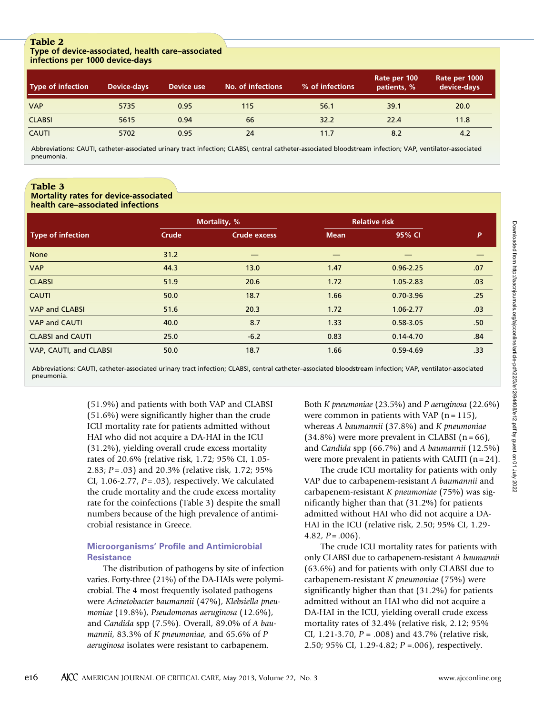#### **Table 2 Type of device-associated, health care–associated infections per 1000 device-days**

| <b>Type of infection</b> | <b>Device-days</b> | Device use | No. of infections | % of infections | Rate per 100<br>patients, % | Rate per 1000<br>device-days |
|--------------------------|--------------------|------------|-------------------|-----------------|-----------------------------|------------------------------|
| <b>VAP</b>               | 5735               | 0.95       | 115               | 56.1            | 39.1                        | 20.0                         |
| <b>CLABSI</b>            | 5615               | 0.94       | 66                | 32.2            | 22.4                        | 11.8                         |
| <b>CAUTI</b>             | 5702               | 0.95       | 24                | 11.7            | 8.2                         | 4.2                          |

Abbreviations: CAUTI, catheter-associated urinary tract infection; CLABSI, central catheter-associated bloodstream infection; VAP, ventilator-associated pneumonia.

## **Table 3**

#### **Mortality rates for device-associated health care–associated infections**

|                          |       | Mortality, %        |             | <b>Relative risk</b> |                  |
|--------------------------|-------|---------------------|-------------|----------------------|------------------|
| <b>Type of infection</b> | Crude | <b>Crude excess</b> | <b>Mean</b> | 95% CI               | P                |
| <b>None</b>              | 31.2  |                     |             |                      |                  |
| <b>VAP</b>               | 44.3  | 13.0                | 1.47        | $0.96 - 2.25$        | .07              |
| <b>CLABSI</b>            | 51.9  | 20.6                | 1.72        | $1.05 - 2.83$        | .03              |
| <b>CAUTI</b>             | 50.0  | 18.7                | 1.66        | $0.70 - 3.96$        | .25              |
| <b>VAP and CLABSI</b>    | 51.6  | 20.3                | 1.72        | 1.06-2.77            | .03              |
| <b>VAP and CAUTI</b>     | 40.0  | 8.7                 | 1.33        | $0.58 - 3.05$        | .50 <sub>2</sub> |
| <b>CLABSI and CAUTI</b>  | 25.0  | $-6.2$              | 0.83        | $0.14 - 4.70$        | .84              |
| VAP, CAUTI, and CLABSI   | 50.0  | 18.7                | 1.66        | $0.59 - 4.69$        | .33              |

Abbreviations: CAUTI, catheter-associated urinary tract infection; CLABSI, central catheter–associated bloodstream infection; VAP, ventilator-associated pneumonia.

> (51.9%) and patients with both VAP and CLABSI (51.6%) were significantly higher than the crude ICU mortality rate for patients admitted without HAI who did not acquire a DA-HAI in the ICU (31.2%), yielding overall crude excess mortality rates of 20.6% (relative risk, 1.72; 95% CI, 1.05- 2.83; *P* = .03) and 20.3% (relative risk, 1.72; 95% CI, 1.06-2.77, *P* = .03), respectively. We calculated the crude mortality and the crude excess mortality rate for the coinfections (Table 3) despite the small numbers because of the high prevalence of antimicrobial resistance in Greece.

## **Microorganisms' Profile and Antimicrobial Resistance**

The distribution of pathogens by site of infection varies. Forty-three (21%) of the DA-HAIs were polymicrobial. The 4 most frequently isolated pathogens were *Acinetobacter baumannii* (47%), *Klebsiella pneumoniae* (19.8%), *Pseudomonas aeruginosa* (12.6%), and *Candida* spp (7.5%). Overall, 89.0% of *A baumannii*, 83.3% of *K pneumoniae,* and 65.6% of *P aeruginosa* isolates were resistant to carbapenem.

Both *K pneumoniae* (23.5%) and *P aeruginosa* (22.6%) were common in patients with VAP  $(n = 115)$ , whereas *A baumannii* (37.8%) and *K pneumoniae*  $(34.8\%)$  were more prevalent in CLABSI  $(n = 66)$ , and *Candida* spp (66.7%) and *A baumannii* (12.5%) were more prevalent in patients with CAUTI  $(n=24)$ .

The crude ICU mortality for patients with only VAP due to carbapenem-resistant *A baumannii* and carbapenem-resistant *K pneumoniae* (75%) was significantly higher than that (31.2%) for patients admitted without HAI who did not acquire a DA-HAI in the ICU (relative risk, 2.50; 95% CI, 1.29- 4.82,  $P = .006$ ).

The crude ICU mortality rates for patients with only CLABSI due to carbapenem-resistant *A baumannii* (63.6%) and for patients with only CLABSI due to carbapenem-resistant *K pneumoniae* (75%) were significantly higher than that (31.2%) for patients admitted without an HAI who did not acquire a DA-HAI in the ICU, yielding overall crude excess mortality rates of 32.4% (relative risk, 2.12; 95% CI, 1.21-3.70, *P* = .008) and 43.7% (relative risk, 2.50; 95% CI, 1.29-4.82; *P* =.006), respectively.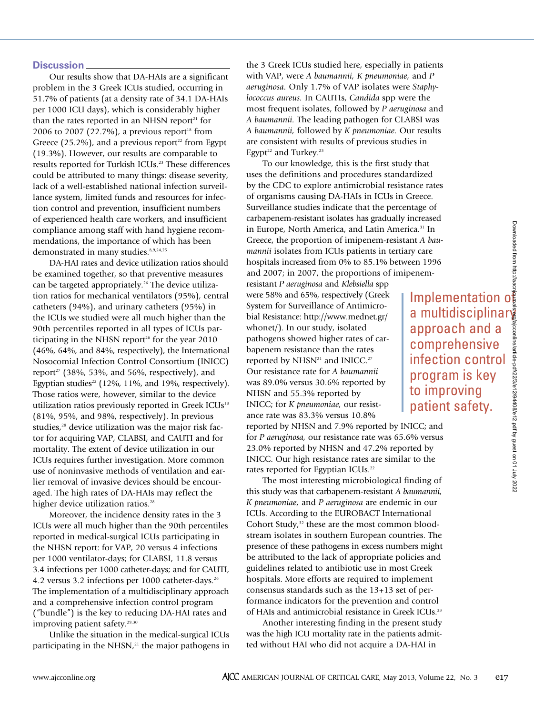Our results show that DA-HAIs are a significant problem in the 3 Greek ICUs studied, occurring in 51.7% of patients (at a density rate of 34.1 DA-HAIs per 1000 ICU days), which is considerably higher than the rates reported in an NHSN report <sup>21</sup> for 2006 to 2007 (22.7%), a previous report<sup>18</sup> from Greece (25.2%), and a previous report<sup>22</sup> from Egypt (19.3%). However, our results are comparable to results reported for Turkish ICUs. <sup>23</sup> These differences could be attributed to many things: disease severity, lack of a well-established national infection surveillance system, limited funds and resources for infection control and prevention, insufficient numbers of experienced health care workers, and insufficient compliance among staff with hand hygiene recommendations, the importance of which has been demonstrated in many studies. 8,9,24,25

DA-HAI rates and device utilization ratios should be examined together, so that preventive measures can be targeted appropriately. <sup>26</sup> The device utilization ratios for mechanical ventilators (95%), central catheters (94%), and urinary catheters (95%) in the ICUs we studied were all much higher than the 90th percentiles reported in all types of ICUs participating in the NHSN report <sup>26</sup> for the year 2010 (46%, 64%, and 84%, respectively), the International Nosocomial Infection Control Consortium (INICC) report <sup>27</sup> (38%, 53%, and 56%, respectively), and Egyptian studies<sup>22</sup> (12%, 11%, and 19%, respectively). Those ratios were, however, similar to the device utilization ratios previously reported in Greek ICUs<sup>18</sup> (81%, 95%, and 98%, respectively). In previous studies, <sup>28</sup> device utilization was the major risk factor for acquiring VAP, CLABSI, and CAUTI and for mortality. The extent of device utilization in our ICUs requires further investigation. More common use of noninvasive methods of ventilation and earlier removal of invasive devices should be encouraged. The high rates of DA-HAIs may reflect the higher device utilization ratios. 28

Moreover, the incidence density rates in the 3 ICUs were all much higher than the 90th percentiles reported in medical-surgical ICUs participating in the NHSN report: for VAP, 20 versus 4 infections per 1000 ventilator-days; for CLABSI, 11.8 versus 3.4 infections per 1000 catheter-days; and for CAUTI, 4.2 versus 3.2 infections per 1000 catheter-days. 26 The implementation of a multidisciplinary approach and a comprehensive infection control program ("bundle") is the key to reducing DA-HAI rates and improving patient safety. 29,30

Unlike the situation in the medical-surgical ICUs participating in the NHSN, <sup>21</sup> the major pathogens in

the 3 Greek ICUs studied here, especially in patients with VAP, were *A baumannii, K pneumoniae,* and *P aeruginosa.* Only 1.7% of VAP isolates were *Staphylococcus aureus.* In CAUTIs, *Candida* spp were the most frequent isolates, followed by *P aeruginosa* and *A baumannii.* The leading pathogen for CLABSI was *A baumannii,* followed by *K pneumoniae.* Our results are consistent with results of previous studies in Egypt<sup>22</sup> and Turkey.<sup>23</sup>

To our knowledge, this is the first study that uses the definitions and procedures standardized by the CDC to explore antimicrobial resistance rates of organisms causing DA-HAIs in ICUs in Greece. Surveillance studies indicate that the percentage of carbapenem-resistant isolates has gradually increased in Europe, North America, and Latin America.  $31 \text{ In}$ Greece, the proportion of imipenem-resistant *A baumannii* isolates from ICUs patients in tertiary care hospitals increased from 0% to 85.1% between 1996 and 2007; in 2007, the proportions of imipenem-

resistant *P aeruginosa* and *Klebsiella* spp were 58% and 65%, respectively (Greek System for Surveillance of Antimicrobial Resistance: http://www.mednet.gr/ whonet/). In our study, isolated pathogens showed higher rates of carbapenem resistance than the rates reported by NHSN<sup>21</sup> and INICC.<sup>27</sup> Our resistance rate for *A baumannii* was 89.0% versus 30.6% reported by NHSN and 55.3% reported by INICC; for *K pneumoniae,* our resistance rate was 83.3% versus 10.8%

reported by NHSN and 7.9% reported by INICC; and for *P aeruginosa,* our resistance rate was 65.6% versus 23.0% reported by NHSN and 47.2% reported by INICC. Our high resistance rates are similar to the rates reported for Egyptian ICUs.<sup>22</sup>

The most interesting microbiological finding of this study was that carbapenem-resistant *A baumannii, K pneumoniae,* and *P aeruginosa* are endemic in our ICUs. According to the EUROBACT International Cohort Study, <sup>32</sup> these are the most common bloodstream isolates in southern European countries. The presence of these pathogens in excess numbers might be attributed to the lack of appropriate policies and guidelines related to antibiotic use in most Greek hospitals. More efforts are required to implement consensus standards such as the 13+13 set of performance indicators for the prevention and control of HAIs and antimicrobial resistance in Greek ICUs.<sup>33</sup>

Another interesting finding in the present study was the high ICU mortality rate in the patients admitted without HAI who did not acquire a DA-HAI in

Implementation of a multidisciplinary approach and a comprehensive infection control program is key to improving patient safety.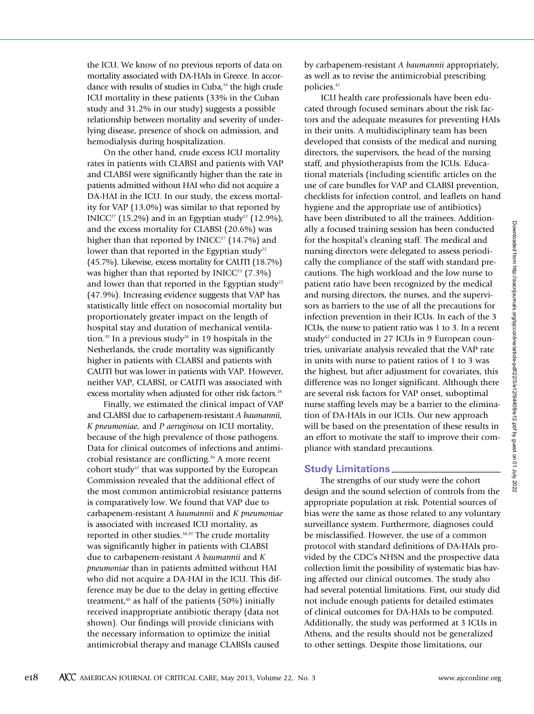the ICU. We know of no previous reports of data on mortality associated with DA-HAIs in Greece. In accordance with results of studies in Cuba, <sup>34</sup> the high crude ICU mortality in these patients (33% in the Cuban study and 31.2% in our study) suggests a possible relationship between mortality and severity of underlying disease, presence of shock on admission, and hemodialysis during hospitalization.

On the other hand, crude excess ICU mortality rates in patients with CLABSI and patients with VAP and CLABSI were significantly higher than the rate in patients admitted without HAI who did not acquire a DA-HAI in the ICU. In our study, the excess mortality for VAP (13.0%) was similar to that reported by INICC<sup>27</sup> (15.2%) and in an Egyptian study<sup>22</sup> (12.9%), and the excess mortality for CLABSI (20.6%) was higher than that reported by  $INICC<sup>27</sup> (14.7%)$  and lower than that reported in the Egyptian study<sup>22</sup> (45.7%). Likewise, excess mortality for CAUTI (18.7%) was higher than that reported by  $INICC<sup>23</sup> (7.3%)$ and lower than that reported in the Egyptian study<sup>22</sup> (47.9%). Increasing evidence suggests that VAP has statistically little effect on nosocomial mortality but proportionately greater impact on the length of hospital stay and duration of mechanical ventilation.<sup>35</sup> In a previous study<sup>28</sup> in 19 hospitals in the Netherlands, the crude mortality was significantly higher in patients with CLABSI and patients with CAUTI but was lower in patients with VAP. However, neither VAP, CLABSI, or CAUTI was associated with excess mortality when adjusted for other risk factors.<sup>28</sup>

Finally, we estimated the clinical impact of VAP and CLABSI due to carbapenem-resistant *A baumannii, K pneumoniae,* and *P aeruginosa* on ICU mortality, because of the high prevalence of those pathogens. Data for clinical outcomes of infections and antimicrobial resistance are conflicting. <sup>36</sup> A more recent cohort study<sup>37</sup> that was supported by the European Commission revealed that the additional effect of the most common antimicrobial resistance patterns is comparatively low. We found that VAP due to carbapenem-resistant *A baumannii* and *K pneumoniae* is associated with increased ICU mortality, as reported in other studies. 38,39 The crude mortality was significantly higher in patients with CLABSI due to carbapenem-resistant *A baumannii* and *K pneumoniae* than in patients admitted without HAI who did not acquire a DA-HAI in the ICU. This difference may be due to the delay in getting effective treatment, <sup>40</sup> as half of the patients (50%) initially received inappropriate antibiotic therapy (data not shown). Our findings will provide clinicians with the necessary information to optimize the initial antimicrobial therapy and manage CLABSIs caused

by carbapenem-resistant *A baumannii* appropriately, as well as to revise the antimicrobial prescribing policies. 41

ICU health care professionals have been educated through focused seminars about the risk factors and the adequate measures for preventing HAIs in their units. A multidisciplinary team has been developed that consists of the medical and nursing directors, the supervisors, the head of the nursing staff, and physiotherapists from the ICUs. Educational materials (including scientific articles on the use of care bundles for VAP and CLABSI prevention, checklists for infection control, and leaflets on hand hygiene and the appropriate use of antibiotics) have been distributed to all the trainees. Additionally a focused training session has been conducted for the hospital's cleaning staff. The medical and nursing directors were delegated to assess periodically the compliance of the staff with standard precautions. The high workload and the low nurse to patient ratio have been recognized by the medical and nursing directors, the nurses, and the supervisors as barriers to the use of all the precautions for infection prevention in their ICUs. In each of the 3 ICUs, the nurse to patient ratio was 1 to 3. In a recent study<sup>42</sup> conducted in 27 ICUs in 9 European countries, univariate analysis revealed that the VAP rate in units with nurse to patient ratios of 1 to 3 was the highest, but after adjustment for covariates, this difference was no longer significant. Although there are several risk factors for VAP onset, suboptimal nurse staffing levels may be a barrier to the elimination of DA-HAIs in our ICUs. Our new approach will be based on the presentation of these results in an effort to motivate the staff to improve their compliance with standard precautions.

## **Study Limitations**

The strengths of our study were the cohort design and the sound selection of controls from the appropriate population at risk. Potential sources of bias were the same as those related to any voluntary surveillance system. Furthermore, diagnoses could be misclassified. However, the use of a common protocol with standard definitions of DA-HAIs provided by the CDC's NHSN and the prospective data collection limit the possibility of systematic bias having affected our clinical outcomes. The study also had several potential limitations. First, our study did not include enough patients for detailed estimates of clinical outcomes for DA-HAIs to be computed. Additionally, the study was performed at 3 ICUs in Athens, and the results should not be generalized to other settings. Despite those limitations, our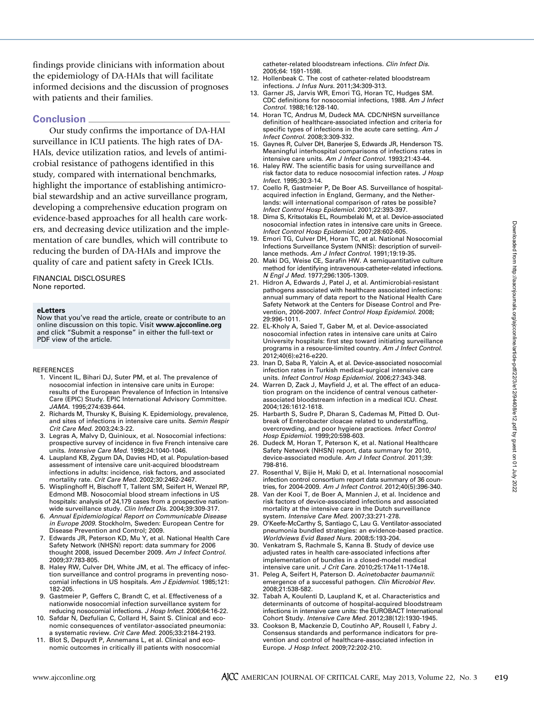findings provide clinicians with information about the epidemiology of DA-HAIs that will facilitate informed decisions and the discussion of prognoses with patients and their families.

## **Conclusion**

Our study confirms the importance of DA-HAI surveillance in ICU patients. The high rates of DA-HAIs, device utilization ratios, and levels of antimicrobial resistance of pathogens identified in this study, compared with international benchmarks, highlight the importance of establishing antimicrobial stewardship and an active surveillance program, developing a comprehensive education program on evidence-based approaches for all health care workers, and decreasing device utilization and the implementation of care bundles, which will contribute to reducing the burden of DA-HAIs and improve the quality of care and patient safety in Greek ICUs.

#### FINANCIAL DISCLOSURES None reported.

#### **eLetters**

Now that you've read the article, create or contribute to an online discussion on this topic. Visit **www.ajcconline.org** and click "Submit a response" in either the full-text or PDF view of the article.

#### REFERENCES

- 1. Vincent IL, Bihari DJ, Suter PM, et al. The prevalence of nosocomial infection in intensive care units in Europe: results of the European Prevalence of Infection in Intensive Care (EPIC) Study. EPIC International Advisory Committee. *JAMA.* 1995;274:639-644.
- 2. Richards M, Thursky K, Buising K. Epidemiology, prevalence, and sites of infections in intensive care units. *Semin Respir Crit Care Med.* 2003;24:3-22.
- 3. Legras A, Malvy D, Quinioux, et al. Nosocomial infections: prospective survey of incidence in five French intensive care units. *Intensive Care Med.* 1998;24:1040-1046.
- 4. Laupland KB, Zygum DA, Davies HD, et al. Population-based assessment of intensive care unit-acquired bloodstream infections in adults: incidence, risk factors, and associated mortality rate. *Crit Care Med.* 2002;30:2462-2467.
- 5. Wisplinghoff H, Bischoff T, Tallent SM, Seifert H, Wenzel RP, Edmond MB. Nosocomial blood stream infections in US hospitals: analysis of 24,179 cases from a prospective nationwide surveillance study. *Clin Infect Dis.* 2004;39:309-317.
- 6. *Annual Epidemiological Report on Communicable Disease in Europe 2009.* Stockholm, Sweden: European Centre for Disease Prevention and Control; 2009.
- 7. Edwards JR, Peterson KD, Mu Y, et al. National Health Care Safety Network (NHSN) report: data summary for 2006 thought 2008, issued December 2009. *Am J Infect Control.* 2009;37:783-805.
- 8. Haley RW, Culver DH, White JM, et al. The efficacy of infection surveillance and control programs in preventing nosocomial infections in US hospitals. *Am J Epidemiol.* 1985;121: 182-205.
- 9. Gastmeier P, Geffers C, Brandt C, et al. Effectiveness of a nationwide nosocomial infection surveillance system for reducing nosocomial infections. *J Hosp Infect.* 2006;64:16-22.
- 10. Safdar N, Dezfulian C, Collard H, Saint S. Clinical and economic consequences of ventilator-associated pneumonia: a systematic review. *Crit Care Med.* 2005;33:2184-2193.
- 11. Blot S, Depuydt P, Annemans L, et al. Clinical and economic outcomes in critically ill patients with nosocomial

catheter-related bloodstream infections. *Clin Infect Dis.* 2005;64: 1591-1598.

- 12. Hollenbeak C. The cost of catheter-related bloodstream infections. *J Infus Nurs.* 2011;34:309-313.
- 13. Garner JS, Jarvis WR, Emori TG, Horan TC, Hudges SM. CDC definitions for nosocomial infections, 1988. *Am J Infect Control.* 1988;16:128-140.
- 14. Horan TC, Andrus M, Dudeck MA. CDC/NHSN surveillance definition of healthcare-associated infection and criteria for specific types of infections in the acute care setting. *Am J Infect Control.* 2008;3:309-332.
- 15. Gaynes R, Culver DH, Banerjee S, Edwards JR, Henderson TS. Meaningful interhospital comparisons of infections rates in intensive care units. *Am J Infect Control.* 1993;21:43-44.
- 16. Haley RW. The scientific basis for using surveillance and risk factor data to reduce nosocomial infection rates. *J Hosp Infect.* 1995;30:3-14.
- 17. Coello R, Gastmeier P, De Boer AS. Surveillance of hospitalacquired infection in England, Germany, and the Netherlands: will international comparison of rates be possible? *Infect Control Hosp Epidemiol.* 2001;22:393-397.
- 18. Dima S, Kritsotakis EL, Roumbelaki M, et al. Device-associated nosocomial infection rates in intensive care units in Greece. *Infect Control Hosp Epidemiol.* 2007;28:602-605.
- 19. Emori TG, Culver DH, Horan TC, et al. National Nosocomial Infections Surveillance System (NNIS): description of surveillance methods. *Am J Infect Control.* 1991;19:19-35.
- 20. Maki DG, Weise CE, Sarafin HW. A semiquantitative culture method for identifying intravenous-catheter-related infections. *N Engl J Med.* 1977;296:1305-1309.
- 21. Hidron A, Edwards J, Patel J, et al. Antimicrobial-resistant pathogens associated with healthcare associated infections: annual summary of data report to the National Health Care Safety Network at the Centers for Disease Control and Prevention, 2006-2007. *Infect Control Hosp Epidemiol.* 2008; 29:996-1011.
- 22. EL-Kholy A, Saied T, Gaber M, et al. Device-associated nosocomial infection rates in intensive care units at Cairo University hospitals: first step toward initiating surveillance programs in a resource-limited country. *Am J Infect Control.* 2012;40(6):e216-e220.
- 23. Inan D, Saba R, Yalcin A, et al. Device-associated nosocomial infection rates in Turkish medical-surgical intensive care units. *Infect Control Hosp Epidemiol.* 2006;27:343-348.
- 24. Warren D, Zack J, Mayfield J, et al. The effect of an education program on the incidence of central venous catheterassociated bloodstream infection in a medical ICU. *Chest.* 2004;126:1612-1618.
- 25. Harbarth S, Sudre P, Dharan S, Cademas M, Pitted D. Outbreak of Enterobacter cloacae related to understaffing, overcrowding, and poor hygiene practices. *Infect Control Hosp Epidemiol.* 1999;20:598-603.
- 26. Dudeck M, Horan T, Peterson K, et al. National Healthcare Safety Network (NHSN) report, data summary for 2010, device-associated module. *Am J Infect Control.* 2011;39: 798-816.
- 27. Rosenthal V, Bijie H, Maki D, et al. International nosocomial infection control consortium report data summary of 36 countries, for 2004-2009. *Am J Infect Control.* 2012;40(5):396-340.
- 28. Van der Kooi T, de Boer A, Mannien J, et al. Incidence and risk factors of device-associated infections and associated mortality at the intensive care in the Dutch surveillance system. *Intensive Care Med.* 2007;33:271-278.
- 29. O'Keefe-McCarthy S, Santiago C, Lau G. Ventilator-associated pneumonia bundled strategies: an evidence-based practice. *Worldviews Evid Based Nurs.* 2008;5:193-204.
- 30. Venkatram S, Rachmale S, Kanna B. Study of device use adjusted rates in health care-associated infections after implementation of bundles in a closed-model medical intensive care unit. *J Crit Care.* 2010;25:174e11-174e18.
- 31. Peleg A, Seifert H, Paterson D. *Acinetobacter baumannii*: emergence of a successful pathogen. *Clin Microbiol Rev.* 2008;21:538-582.
- 32. Tabah A, Koulenti D, Laupland K, et al. Characteristics and determinants of outcome of hospital-acquired bloodstream infections in intensive care units: the EUROBACT International Cohort Study. *Intensive Care Med.* 2012;38(12):1930-1945.
- 33. Cookson B, Mackenzie D, Coutinho AP, Rousell I, Fabry J. Consensus standards and performance indicators for prevention and control of healthcare-associated infection in Europe. *J Hosp Infect.* 2009;72:202-210.